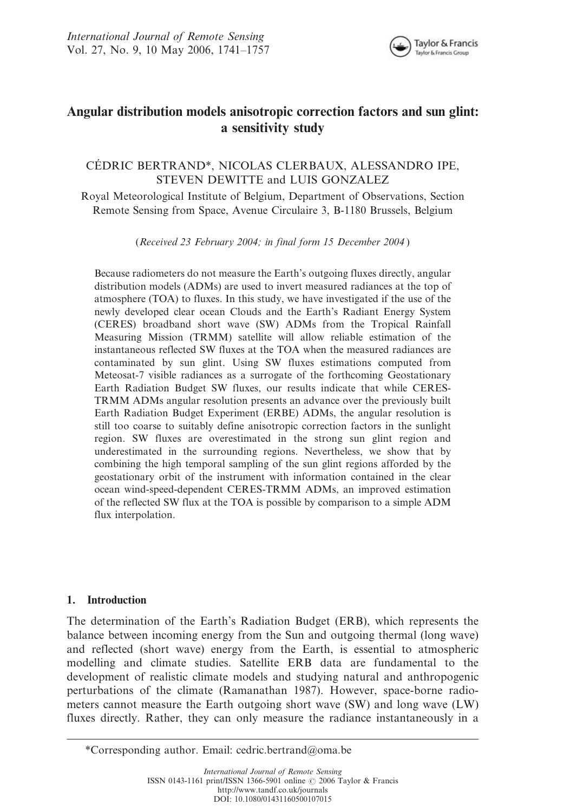

# Angular distribution models anisotropic correction factors and sun glint: a sensitivity study

# CÉDRIC BERTRAND\*, NICOLAS CLERBAUX, ALESSANDRO IPE, STEVEN DEWITTE and LUIS GONZALEZ

Royal Meteorological Institute of Belgium, Department of Observations, Section Remote Sensing from Space, Avenue Circulaire 3, B-1180 Brussels, Belgium

(Received 23 February 2004; in final form 15 December 2004 )

Because radiometers do not measure the Earth's outgoing fluxes directly, angular distribution models (ADMs) are used to invert measured radiances at the top of atmosphere (TOA) to fluxes. In this study, we have investigated if the use of the newly developed clear ocean Clouds and the Earth's Radiant Energy System (CERES) broadband short wave (SW) ADMs from the Tropical Rainfall Measuring Mission (TRMM) satellite will allow reliable estimation of the instantaneous reflected SW fluxes at the TOA when the measured radiances are contaminated by sun glint. Using SW fluxes estimations computed from Meteosat-7 visible radiances as a surrogate of the forthcoming Geostationary Earth Radiation Budget SW fluxes, our results indicate that while CERES-TRMM ADMs angular resolution presents an advance over the previously built Earth Radiation Budget Experiment (ERBE) ADMs, the angular resolution is still too coarse to suitably define anisotropic correction factors in the sunlight region. SW fluxes are overestimated in the strong sun glint region and underestimated in the surrounding regions. Nevertheless, we show that by combining the high temporal sampling of the sun glint regions afforded by the geostationary orbit of the instrument with information contained in the clear ocean wind-speed-dependent CERES-TRMM ADMs, an improved estimation of the reflected SW flux at the TOA is possible by comparison to a simple ADM flux interpolation.

# 1. Introduction

The determination of the Earth's Radiation Budget (ERB), which represents the balance between incoming energy from the Sun and outgoing thermal (long wave) and reflected (short wave) energy from the Earth, is essential to atmospheric modelling and climate studies. Satellite ERB data are fundamental to the development of realistic climate models and studying natural and anthropogenic perturbations of the climate (Ramanathan 1987). However, space-borne radiometers cannot measure the Earth outgoing short wave (SW) and long wave (LW) fluxes directly. Rather, they can only measure the radiance instantaneously in a

<sup>\*</sup>Corresponding author. Email: cedric.bertrand@oma.be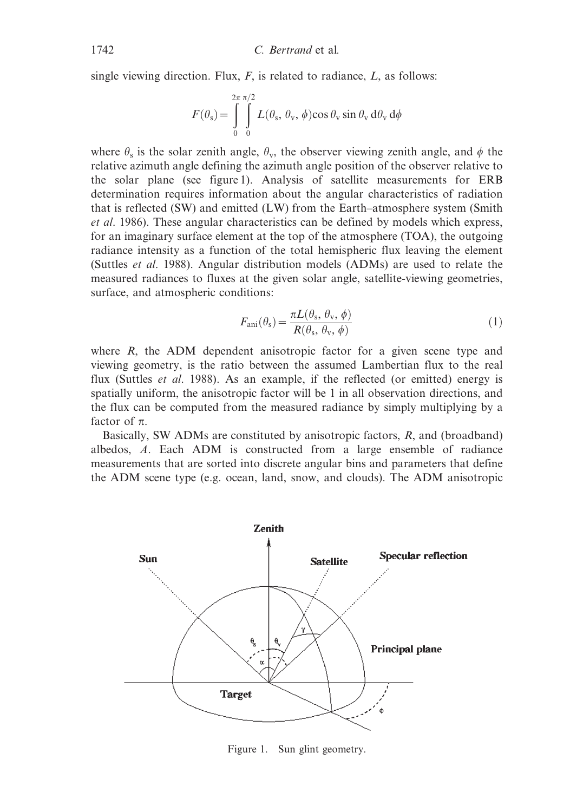single viewing direction. Flux,  $F$ , is related to radiance,  $L$ , as follows:

$$
F(\theta_{\rm s}) = \int_{0}^{2\pi} \int_{0}^{2\pi} L(\theta_{\rm s}, \theta_{\rm v}, \phi) \cos \theta_{\rm v} \sin \theta_{\rm v} \, d\theta_{\rm v} \, d\phi
$$

where  $\theta_s$  is the solar zenith angle,  $\theta_v$ , the observer viewing zenith angle, and  $\phi$  the relative azimuth angle defining the azimuth angle position of the observer relative to the solar plane (see figure 1). Analysis of satellite measurements for ERB determination requires information about the angular characteristics of radiation that is reflected (SW) and emitted (LW) from the Earth–atmosphere system (Smith et al. 1986). These angular characteristics can be defined by models which express, for an imaginary surface element at the top of the atmosphere (TOA), the outgoing radiance intensity as a function of the total hemispheric flux leaving the element (Suttles et al. 1988). Angular distribution models (ADMs) are used to relate the measured radiances to fluxes at the given solar angle, satellite-viewing geometries, surface, and atmospheric conditions:

$$
F_{\text{ani}}(\theta_{\text{s}}) = \frac{\pi L(\theta_{\text{s}}, \theta_{\text{v}}, \phi)}{R(\theta_{\text{s}}, \theta_{\text{v}}, \phi)}
$$
(1)

where R, the ADM dependent anisotropic factor for a given scene type and viewing geometry, is the ratio between the assumed Lambertian flux to the real flux (Suttles et al. 1988). As an example, if the reflected (or emitted) energy is spatially uniform, the anisotropic factor will be 1 in all observation directions, and the flux can be computed from the measured radiance by simply multiplying by a factor of  $\pi$ .

Basically, SW ADMs are constituted by anisotropic factors, R, and (broadband) albedos, A. Each ADM is constructed from a large ensemble of radiance measurements that are sorted into discrete angular bins and parameters that define the ADM scene type (e.g. ocean, land, snow, and clouds). The ADM anisotropic



Figure 1. Sun glint geometry.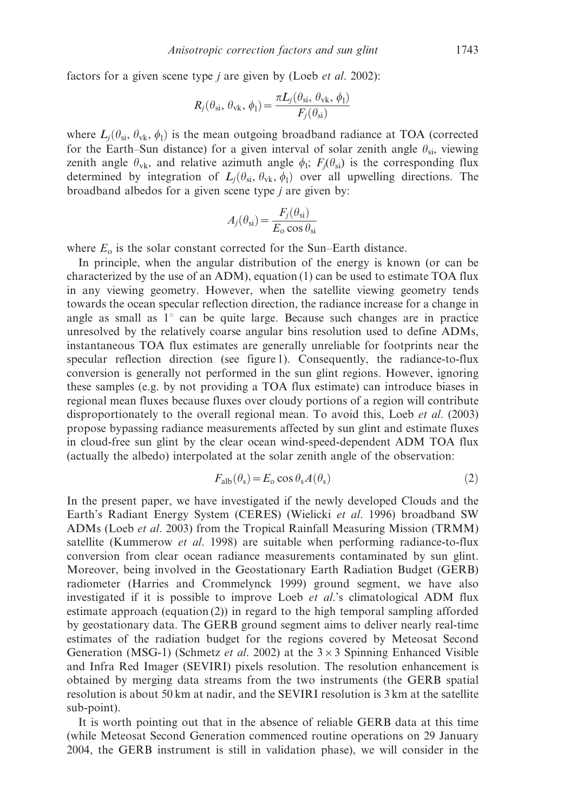factors for a given scene type *j* are given by (Loeb *et al.* 2002):

$$
R_j(\theta_{\rm si}, \theta_{\rm vk}, \phi_1) = \frac{\pi L_j(\theta_{\rm si}, \theta_{\rm vk}, \phi_1)}{F_j(\theta_{\rm si})}
$$

where  $L_i(\theta_{si}, \theta_{vi}, \phi_1)$  is the mean outgoing broadband radiance at TOA (corrected for the Earth–Sun distance) for a given interval of solar zenith angle  $\theta_{si}$ , viewing zenith angle  $\theta_{\rm vk}$ , and relative azimuth angle  $\phi_i$ ;  $F_i(\theta_{si})$  is the corresponding flux determined by integration of  $L_i(\theta_{si}, \theta_{vk}, \phi_l)$  over all upwelling directions. The broadband albedos for a given scene type j are given by:

$$
A_j(\theta_{si}) = \frac{F_j(\theta_{si})}{E_o \cos \theta_{si}}
$$

where  $E_0$  is the solar constant corrected for the Sun–Earth distance.

In principle, when the angular distribution of the energy is known (or can be characterized by the use of an ADM), equation (1) can be used to estimate TOA flux in any viewing geometry. However, when the satellite viewing geometry tends towards the ocean specular reflection direction, the radiance increase for a change in angle as small as  $1^\circ$  can be quite large. Because such changes are in practice unresolved by the relatively coarse angular bins resolution used to define ADMs, instantaneous TOA flux estimates are generally unreliable for footprints near the specular reflection direction (see figure 1). Consequently, the radiance-to-flux conversion is generally not performed in the sun glint regions. However, ignoring these samples (e.g. by not providing a TOA flux estimate) can introduce biases in regional mean fluxes because fluxes over cloudy portions of a region will contribute disproportionately to the overall regional mean. To avoid this, Loeb *et al.* (2003) propose bypassing radiance measurements affected by sun glint and estimate fluxes in cloud-free sun glint by the clear ocean wind-speed-dependent ADM TOA flux (actually the albedo) interpolated at the solar zenith angle of the observation:

$$
F_{\rm alb}(\theta_{\rm s}) = E_{\rm o} \cos \theta_{\rm s} A(\theta_{\rm s})
$$
\n(2)

In the present paper, we have investigated if the newly developed Clouds and the Earth's Radiant Energy System (CERES) (Wielicki et al. 1996) broadband SW ADMs (Loeb et al. 2003) from the Tropical Rainfall Measuring Mission (TRMM) satellite (Kummerow et al. 1998) are suitable when performing radiance-to-flux conversion from clear ocean radiance measurements contaminated by sun glint. Moreover, being involved in the Geostationary Earth Radiation Budget (GERB) radiometer (Harries and Crommelynck 1999) ground segment, we have also investigated if it is possible to improve Loeb *et al.*'s climatological ADM flux estimate approach (equation  $(2)$ ) in regard to the high temporal sampling afforded by geostationary data. The GERB ground segment aims to deliver nearly real-time estimates of the radiation budget for the regions covered by Meteosat Second Generation (MSG-1) (Schmetz et al. 2002) at the  $3\times3$  Spinning Enhanced Visible and Infra Red Imager (SEVIRI) pixels resolution. The resolution enhancement is obtained by merging data streams from the two instruments (the GERB spatial resolution is about 50 km at nadir, and the SEVIRI resolution is 3 km at the satellite sub-point).

It is worth pointing out that in the absence of reliable GERB data at this time (while Meteosat Second Generation commenced routine operations on 29 January 2004, the GERB instrument is still in validation phase), we will consider in the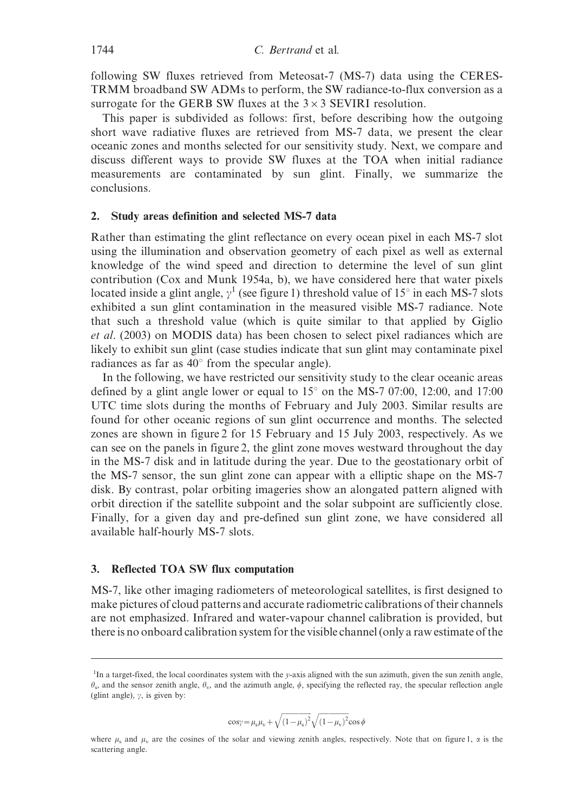following SW fluxes retrieved from Meteosat-7 (MS-7) data using the CERES-TRMM broadband SW ADMs to perform, the SW radiance-to-flux conversion as a surrogate for the GERB SW fluxes at the  $3 \times 3$  SEVIRI resolution.

This paper is subdivided as follows: first, before describing how the outgoing short wave radiative fluxes are retrieved from MS-7 data, we present the clear oceanic zones and months selected for our sensitivity study. Next, we compare and discuss different ways to provide SW fluxes at the TOA when initial radiance measurements are contaminated by sun glint. Finally, we summarize the conclusions.

#### 2. Study areas definition and selected MS-7 data

Rather than estimating the glint reflectance on every ocean pixel in each MS-7 slot using the illumination and observation geometry of each pixel as well as external knowledge of the wind speed and direction to determine the level of sun glint contribution (Cox and Munk 1954a, b), we have considered here that water pixels located inside a glint angle,  $\gamma^1$  (see figure 1) threshold value of 15° in each MS-7 slots exhibited a sun glint contamination in the measured visible MS-7 radiance. Note that such a threshold value (which is quite similar to that applied by Giglio et al. (2003) on MODIS data) has been chosen to select pixel radiances which are likely to exhibit sun glint (case studies indicate that sun glint may contaminate pixel radiances as far as  $40^{\circ}$  from the specular angle).

In the following, we have restricted our sensitivity study to the clear oceanic areas defined by a glint angle lower or equal to  $15^{\circ}$  on the MS-7 07:00, 12:00, and 17:00 UTC time slots during the months of February and July 2003. Similar results are found for other oceanic regions of sun glint occurrence and months. The selected zones are shown in figure 2 for 15 February and 15 July 2003, respectively. As we can see on the panels in figure 2, the glint zone moves westward throughout the day in the MS-7 disk and in latitude during the year. Due to the geostationary orbit of the MS-7 sensor, the sun glint zone can appear with a elliptic shape on the MS-7 disk. By contrast, polar orbiting imageries show an alongated pattern aligned with orbit direction if the satellite subpoint and the solar subpoint are sufficiently close. Finally, for a given day and pre-defined sun glint zone, we have considered all available half-hourly MS-7 slots.

### 3. Reflected TOA SW flux computation

MS-7, like other imaging radiometers of meteorological satellites, is first designed to make pictures of cloud patterns and accurate radiometric calibrations of their channels are not emphasized. Infrared and water-vapour channel calibration is provided, but there is no onboard calibration system for the visible channel (only a raw estimate of the

$$
\cos\!\gamma\!=\!\mu_{\rm s}\mu_{\rm v}\!+\!\sqrt{\left(1\!-\!\mu_{\rm s}\right)^{\!2}}\sqrt{\left(1\!-\!\mu_{\rm v}\right)^{\!2}}\!\cos\phi
$$

<sup>&</sup>lt;sup>1</sup>In a target-fixed, the local coordinates system with the y-axis aligned with the sun azimuth, given the sun zenith angle,  $\theta_s$ , and the sensor zenith angle,  $\theta_v$ , and the azimuth angle,  $\phi$ , specifying the reflected ray, the specular reflection angle (glint angle),  $\gamma$ , is given by:

where  $\mu_s$  and  $\mu_v$  are the cosines of the solar and viewing zenith angles, respectively. Note that on figure 1,  $\alpha$  is the scattering angle.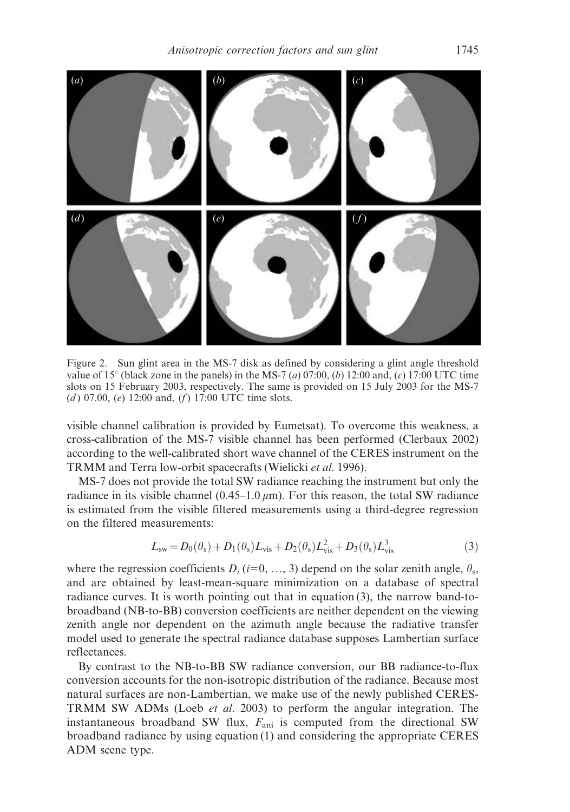

Figure 2. Sun glint area in the MS-7 disk as defined by considering a glint angle threshold value of 15° (black zone in the panels) in the MS-7 (a) 07:00, (b) 12:00 and, (c) 17:00 UTC time slots on 15 February 2003, respectively. The same is provided on 15 July 2003 for the MS-7 (d) 07.00, (e) 12:00 and, (f) 17:00 UTC time slots.

visible channel calibration is provided by Eumetsat). To overcome this weakness, a cross-calibration of the MS-7 visible channel has been performed (Clerbaux 2002) according to the well-calibrated short wave channel of the CERES instrument on the TRMM and Terra low-orbit spacecrafts (Wielicki et al. 1996).

MS-7 does not provide the total SW radiance reaching the instrument but only the radiance in its visible channel  $(0.45-1.0 \,\mu\text{m})$ . For this reason, the total SW radiance is estimated from the visible filtered measurements using a third-degree regression on the filtered measurements:

$$
L_{\rm sw} = D_0(\theta_{\rm s}) + D_1(\theta_{\rm s})L_{\rm vis} + D_2(\theta_{\rm s})L_{\rm vis}^2 + D_3(\theta_{\rm s})L_{\rm vis}^3 \tag{3}
$$

where the regression coefficients  $D_i$  (i=0, ..., 3) depend on the solar zenith angle,  $\theta_s$ , and are obtained by least-mean-square minimization on a database of spectral radiance curves. It is worth pointing out that in equation (3), the narrow band-tobroadband (NB-to-BB) conversion coefficients are neither dependent on the viewing zenith angle nor dependent on the azimuth angle because the radiative transfer model used to generate the spectral radiance database supposes Lambertian surface reflectances.

By contrast to the NB-to-BB SW radiance conversion, our BB radiance-to-flux conversion accounts for the non-isotropic distribution of the radiance. Because most natural surfaces are non-Lambertian, we make use of the newly published CERES-TRMM SW ADMs (Loeb et al. 2003) to perform the angular integration. The instantaneous broadband SW flux,  $F_{\text{ani}}$  is computed from the directional SW broadband radiance by using equation (1) and considering the appropriate CERES ADM scene type.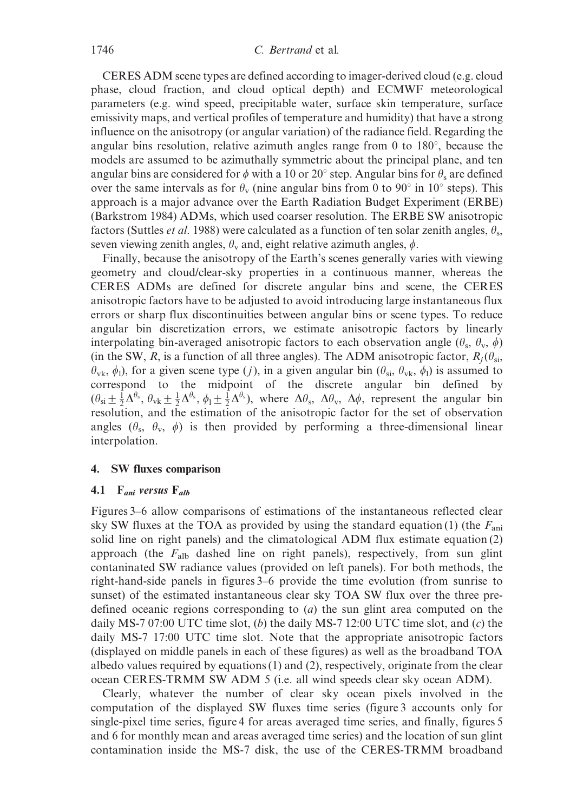CERES ADM scene types are defined according to imager-derived cloud (e.g. cloud phase, cloud fraction, and cloud optical depth) and ECMWF meteorological parameters (e.g. wind speed, precipitable water, surface skin temperature, surface emissivity maps, and vertical profiles of temperature and humidity) that have a strong influence on the anisotropy (or angular variation) of the radiance field. Regarding the angular bins resolution, relative azimuth angles range from 0 to  $180^\circ$ , because the models are assumed to be azimuthally symmetric about the principal plane, and ten angular bins are considered for  $\phi$  with a 10 or 20° step. Angular bins for  $\theta_s$  are defined over the same intervals as for  $\theta_{\rm v}$  (nine angular bins from 0 to 90° in 10° steps). This approach is a major advance over the Earth Radiation Budget Experiment (ERBE) (Barkstrom 1984) ADMs, which used coarser resolution. The ERBE SW anisotropic factors (Suttles *et al.* 1988) were calculated as a function of ten solar zenith angles,  $\theta_s$ , seven viewing zenith angles,  $\theta_{\rm v}$  and, eight relative azimuth angles,  $\phi$ .

Finally, because the anisotropy of the Earth's scenes generally varies with viewing geometry and cloud/clear-sky properties in a continuous manner, whereas the CERES ADMs are defined for discrete angular bins and scene, the CERES anisotropic factors have to be adjusted to avoid introducing large instantaneous flux errors or sharp flux discontinuities between angular bins or scene types. To reduce angular bin discretization errors, we estimate anisotropic factors by linearly interpolating bin-averaged anisotropic factors to each observation angle  $(\theta_s, \theta_v, \phi)$ (in the SW, R, is a function of all three angles). The ADM anisotropic factor,  $R_i(\theta_{si},$  $\theta_{\rm vk}, \phi_{\rm l}$ ), for a given scene type (j), in a given angular bin ( $\theta_{\rm si}, \theta_{\rm vk}, \phi_{\rm l}$ ) is assumed to correspond to the midpoint of the discrete angular bin defined by  $(\theta_{si} \pm \frac{1}{2} \Delta^{\theta_s}, \theta_{vk} \pm \frac{1}{2} \Delta^{\theta_s}, \phi_1 \pm \frac{1}{2} \Delta^{\theta_s})$ , where  $\Delta \theta_s$ ,  $\Delta \theta_v$ ,  $\Delta \phi$ , represent the angular bin resolution, and the estimation of the anisotropic factor for the set of observation angles  $(\theta_s, \theta_v, \phi)$  is then provided by performing a three-dimensional linear interpolation.

## 4. SW fluxes comparison

## 4.1  $F_{ani}$  versus  $F_{alb}$

Figures 3–6 allow comparisons of estimations of the instantaneous reflected clear sky SW fluxes at the TOA as provided by using the standard equation (1) (the  $F_{\text{ani}}$ solid line on right panels) and the climatological ADM flux estimate equation (2) approach (the  $F_{\text{alb}}$  dashed line on right panels), respectively, from sun glint contaninated SW radiance values (provided on left panels). For both methods, the right-hand-side panels in figures 3–6 provide the time evolution (from sunrise to sunset) of the estimated instantaneous clear sky TOA SW flux over the three predefined oceanic regions corresponding to  $(a)$  the sun glint area computed on the daily MS-7 07:00 UTC time slot, (b) the daily MS-7 12:00 UTC time slot, and (c) the daily MS-7 17:00 UTC time slot. Note that the appropriate anisotropic factors (displayed on middle panels in each of these figures) as well as the broadband TOA albedo values required by equations (1) and (2), respectively, originate from the clear ocean CERES-TRMM SW ADM 5 (i.e. all wind speeds clear sky ocean ADM).

Clearly, whatever the number of clear sky ocean pixels involved in the computation of the displayed SW fluxes time series (figure 3 accounts only for single-pixel time series, figure 4 for areas averaged time series, and finally, figures 5 and 6 for monthly mean and areas averaged time series) and the location of sun glint contamination inside the MS-7 disk, the use of the CERES-TRMM broadband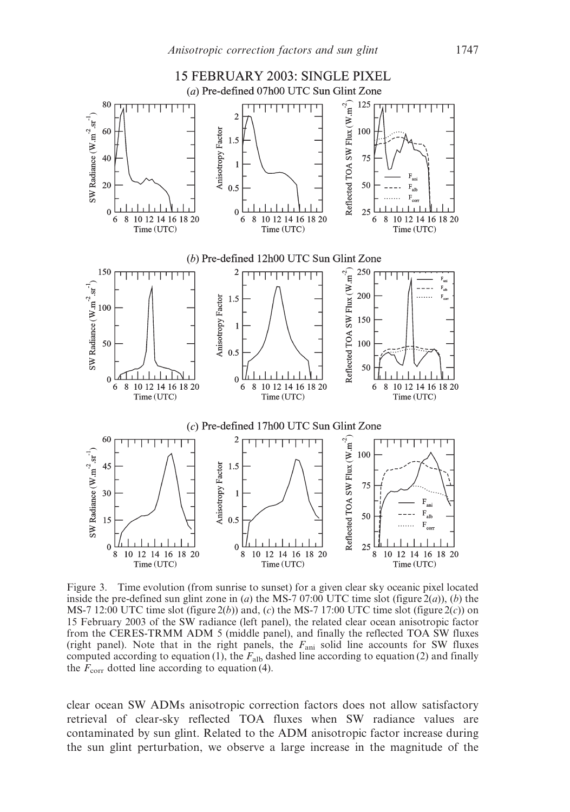

Figure 3. Time evolution (from sunrise to sunset) for a given clear sky oceanic pixel located inside the pre-defined sun glint zone in (a) the MS-7 07:00 UTC time slot (figure  $2(a)$ ), (b) the MS-7 12:00 UTC time slot (figure  $2(b)$ ) and, (c) the MS-7 17:00 UTC time slot (figure  $2(c)$ ) on 15 February 2003 of the SW radiance (left panel), the related clear ocean anisotropic factor from the CERES-TRMM ADM 5 (middle panel), and finally the reflected TOA SW fluxes (right panel). Note that in the right panels, the  $F_{\text{ani}}$  solid line accounts for SW fluxes computed according to equation (1), the  $F_{\text{alb}}$  dashed line according to equation (2) and finally the  $F_{\text{corr}}$  dotted line according to equation (4).

clear ocean SW ADMs anisotropic correction factors does not allow satisfactory retrieval of clear-sky reflected TOA fluxes when SW radiance values are contaminated by sun glint. Related to the ADM anisotropic factor increase during the sun glint perturbation, we observe a large increase in the magnitude of the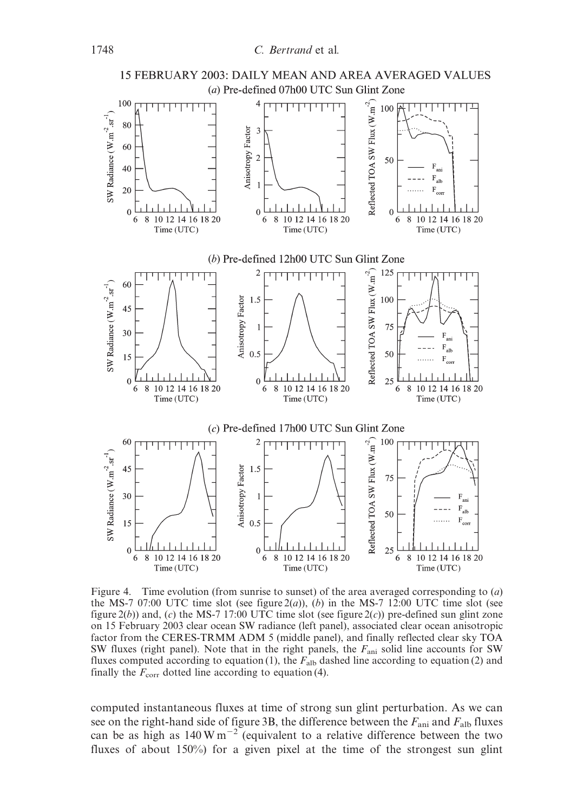

Figure 4. Time evolution (from sunrise to sunset) of the area averaged corresponding to  $(a)$ the MS-7 07:00 UTC time slot (see figure  $2(a)$ ), (b) in the MS-7 12:00 UTC time slot (see figure  $2(b)$ ) and, (c) the MS-7 17:00 UTC time slot (see figure  $2(c)$ ) pre-defined sun glint zone on 15 February 2003 clear ocean SW radiance (left panel), associated clear ocean anisotropic factor from the CERES-TRMM ADM 5 (middle panel), and finally reflected clear sky TOA SW fluxes (right panel). Note that in the right panels, the  $F_{\text{ani}}$  solid line accounts for SW fluxes computed according to equation (1), the  $F_{\text{alb}}$  dashed line according to equation (2) and finally the  $F_{\text{corr}}$  dotted line according to equation (4).

computed instantaneous fluxes at time of strong sun glint perturbation. As we can see on the right-hand side of figure 3B, the difference between the  $F_{\text{ani}}$  and  $F_{\text{alb}}$  fluxes can be as high as  $140 \text{ W m}^{-2}$  (equivalent to a relative difference between the two fluxes of about 150%) for a given pixel at the time of the strongest sun glint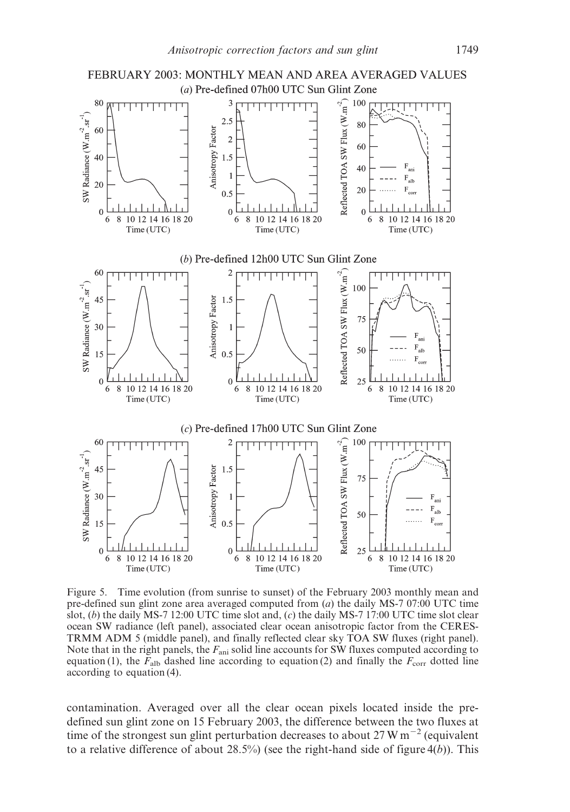

Figure 5. Time evolution (from sunrise to sunset) of the February 2003 monthly mean and pre-defined sun glint zone area averaged computed from  $(a)$  the daily MS-7 07:00 UTC time slot,  $(b)$  the daily MS-7 12:00 UTC time slot and,  $(c)$  the daily MS-7 17:00 UTC time slot clear ocean SW radiance (left panel), associated clear ocean anisotropic factor from the CERES-TRMM ADM 5 (middle panel), and finally reflected clear sky TOA SW fluxes (right panel). Note that in the right panels, the  $F_{\text{ani}}$  solid line accounts for SW fluxes computed according to equation (1), the  $F_{\text{alb}}$  dashed line according to equation (2) and finally the  $F_{\text{corr}}$  dotted line according to equation (4).

contamination. Averaged over all the clear ocean pixels located inside the predefined sun glint zone on 15 February 2003, the difference between the two fluxes at time of the strongest sun glint perturbation decreases to about 27 W  $\text{m}^{-2}$  (equivalent to a relative difference of about 28.5%) (see the right-hand side of figure  $4(b)$ ). This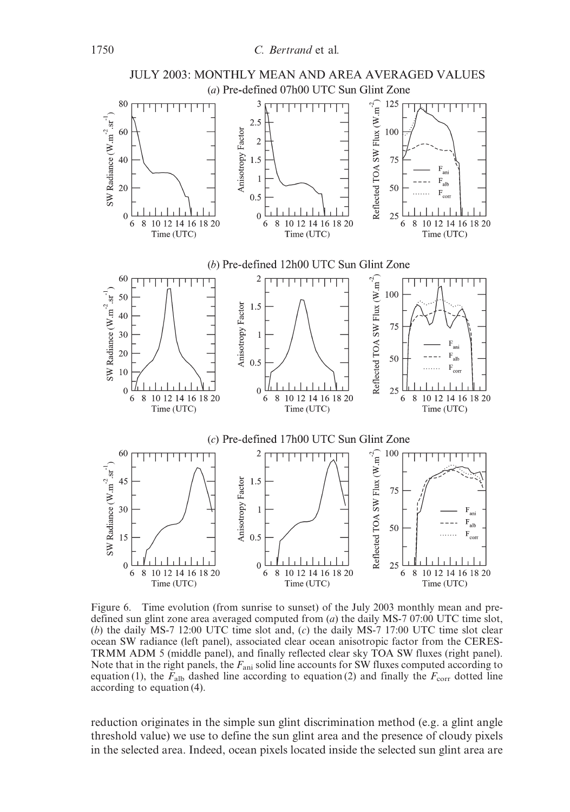

Figure 6. Time evolution (from sunrise to sunset) of the July 2003 monthly mean and predefined sun glint zone area averaged computed from  $(a)$  the daily MS-7 07:00 UTC time slot, (b) the daily MS-7 12:00 UTC time slot and,  $(c)$  the daily MS-7 17:00 UTC time slot clear ocean SW radiance (left panel), associated clear ocean anisotropic factor from the CERES-TRMM ADM 5 (middle panel), and finally reflected clear sky TOA SW fluxes (right panel). Note that in the right panels, the  $F_{\text{ani}}$  solid line accounts for SW fluxes computed according to equation (1), the  $F_{\text{alb}}$  dashed line according to equation (2) and finally the  $F_{\text{corr}}$  dotted line according to equation (4).

reduction originates in the simple sun glint discrimination method (e.g. a glint angle threshold value) we use to define the sun glint area and the presence of cloudy pixels in the selected area. Indeed, ocean pixels located inside the selected sun glint area are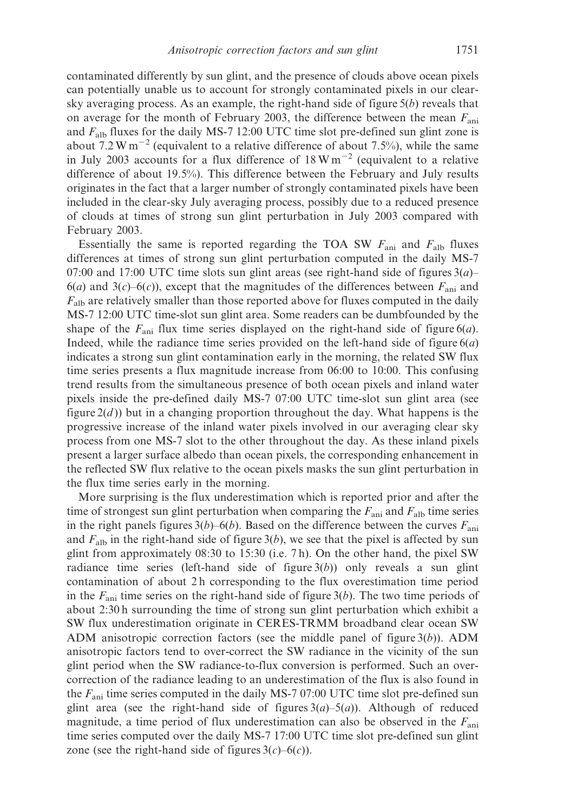contaminated differently by sun glint, and the presence of clouds above ocean pixels can potentially unable us to account for strongly contaminated pixels in our clearsky averaging process. As an example, the right-hand side of figure  $5(b)$  reveals that on average for the month of February 2003, the difference between the mean  $F_{\text{ani}}$ and  $F_{\text{alb}}$  fluxes for the daily MS-7 12:00 UTC time slot pre-defined sun glint zone is about 7.2 W m<sup>-2</sup> (equivalent to a relative difference of about 7.5%), while the same in July 2003 accounts for a flux difference of  $18 \text{ W m}^{-2}$  (equivalent to a relative difference of about 19.5%). This difference between the February and July results originates in the fact that a larger number of strongly contaminated pixels have been included in the clear-sky July averaging process, possibly due to a reduced presence of clouds at times of strong sun glint perturbation in July 2003 compared with February 2003.

Essentially the same is reported regarding the TOA SW  $F_{\text{ani}}$  and  $F_{\text{alb}}$  fluxes differences at times of strong sun glint perturbation computed in the daily MS-7 07:00 and 17:00 UTC time slots sun glint areas (see right-hand side of figures  $3(a)$ –  $6(a)$  and  $3(c)$ – $6(c)$ ), except that the magnitudes of the differences between  $F_{\text{ani}}$  and  $F_{\rm alb}$  are relatively smaller than those reported above for fluxes computed in the daily MS-7 12:00 UTC time-slot sun glint area. Some readers can be dumbfounded by the shape of the  $F_{\text{ani}}$  flux time series displayed on the right-hand side of figure 6(*a*). Indeed, while the radiance time series provided on the left-hand side of figure  $6(a)$ indicates a strong sun glint contamination early in the morning, the related SW flux time series presents a flux magnitude increase from 06:00 to 10:00. This confusing trend results from the simultaneous presence of both ocean pixels and inland water pixels inside the pre-defined daily MS-7 07:00 UTC time-slot sun glint area (see figure  $2(d)$ ) but in a changing proportion throughout the day. What happens is the progressive increase of the inland water pixels involved in our averaging clear sky process from one MS-7 slot to the other throughout the day. As these inland pixels present a larger surface albedo than ocean pixels, the corresponding enhancement in the reflected SW flux relative to the ocean pixels masks the sun glint perturbation in the flux time series early in the morning.

More surprising is the flux underestimation which is reported prior and after the time of strongest sun glint perturbation when comparing the  $F_{\text{ani}}$  and  $F_{\text{alb}}$  time series in the right panels figures  $3(b)$ –6(b). Based on the difference between the curves  $F_{\text{ani}}$ and  $F_{\text{alb}}$  in the right-hand side of figure 3(b), we see that the pixel is affected by sun glint from approximately 08:30 to 15:30 (i.e. 7 h). On the other hand, the pixel SW radiance time series (left-hand side of figure  $3(b)$ ) only reveals a sun glint contamination of about 2 h corresponding to the flux overestimation time period in the  $F_{\text{ani}}$  time series on the right-hand side of figure 3(b). The two time periods of about 2:30 h surrounding the time of strong sun glint perturbation which exhibit a SW flux underestimation originate in CERES-TRMM broadband clear ocean SW ADM anisotropic correction factors (see the middle panel of figure  $3(b)$ ). ADM anisotropic factors tend to over-correct the SW radiance in the vicinity of the sun glint period when the SW radiance-to-flux conversion is performed. Such an overcorrection of the radiance leading to an underestimation of the flux is also found in the  $F_{\text{ani}}$  time series computed in the daily MS-7 07:00 UTC time slot pre-defined sun glint area (see the right-hand side of figures  $3(a)$ – $5(a)$ ). Although of reduced magnitude, a time period of flux underestimation can also be observed in the  $F_{\text{ani}}$ time series computed over the daily MS-7 17:00 UTC time slot pre-defined sun glint zone (see the right-hand side of figures  $3(c)$ –6(c)).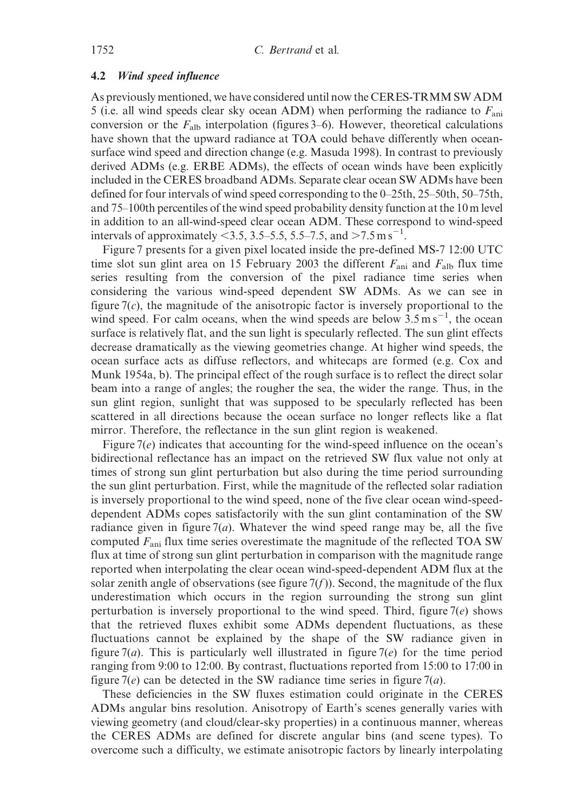#### 4.2 Wind speed influence

As previously mentioned, we have considered until now the CERES-TRMM SW ADM 5 (i.e. all wind speeds clear sky ocean ADM) when performing the radiance to  $F_{\text{ani}}$ conversion or the  $F_{\text{alb}}$  interpolation (figures 3–6). However, theoretical calculations have shown that the upward radiance at TOA could behave differently when oceansurface wind speed and direction change (e.g. Masuda 1998). In contrast to previously derived ADMs (e.g. ERBE ADMs), the effects of ocean winds have been explicitly included in the CERES broadband ADMs. Separate clear ocean SW ADMs have been defined for four intervals of wind speed corresponding to the 0–25th, 25–50th, 50–75th, and 75–100th percentiles of the wind speed probability density function at the 10 m level in addition to an all-wind-speed clear ocean ADM. These correspond to wind-speed intervals of approximately <3.5, 3.5–5.5, 5.5–7.5, and >7.5 m s<sup>-1</sup>.

Figure 7 presents for a given pixel located inside the pre-defined MS-7 12:00 UTC time slot sun glint area on 15 February 2003 the different  $F_{\text{ani}}$  and  $F_{\text{alb}}$  flux time series resulting from the conversion of the pixel radiance time series when considering the various wind-speed dependent SW ADMs. As we can see in figure  $7(c)$ , the magnitude of the anisotropic factor is inversely proportional to the wind speed. For calm oceans, when the wind speeds are below  $3.5 \text{ m s}^{-1}$ , the ocean surface is relatively flat, and the sun light is specularly reflected. The sun glint effects decrease dramatically as the viewing geometries change. At higher wind speeds, the ocean surface acts as diffuse reflectors, and whitecaps are formed (e.g. Cox and Munk 1954a, b). The principal effect of the rough surface is to reflect the direct solar beam into a range of angles; the rougher the sea, the wider the range. Thus, in the sun glint region, sunlight that was supposed to be specularly reflected has been scattered in all directions because the ocean surface no longer reflects like a flat mirror. Therefore, the reflectance in the sun glint region is weakened.

Figure  $7(e)$  indicates that accounting for the wind-speed influence on the ocean's bidirectional reflectance has an impact on the retrieved SW flux value not only at times of strong sun glint perturbation but also during the time period surrounding the sun glint perturbation. First, while the magnitude of the reflected solar radiation is inversely proportional to the wind speed, none of the five clear ocean wind-speeddependent ADMs copes satisfactorily with the sun glint contamination of the SW radiance given in figure  $7(a)$ . Whatever the wind speed range may be, all the five computed  $F_{\text{ani}}$  flux time series overestimate the magnitude of the reflected TOA SW flux at time of strong sun glint perturbation in comparison with the magnitude range reported when interpolating the clear ocean wind-speed-dependent ADM flux at the solar zenith angle of observations (see figure  $7(f)$ ). Second, the magnitude of the flux underestimation which occurs in the region surrounding the strong sun glint perturbation is inversely proportional to the wind speed. Third, figure  $7(e)$  shows that the retrieved fluxes exhibit some ADMs dependent fluctuations, as these fluctuations cannot be explained by the shape of the SW radiance given in figure  $7(a)$ . This is particularly well illustrated in figure  $7(e)$  for the time period ranging from 9:00 to 12:00. By contrast, fluctuations reported from 15:00 to 17:00 in figure  $7(e)$  can be detected in the SW radiance time series in figure  $7(a)$ .

These deficiencies in the SW fluxes estimation could originate in the CERES ADMs angular bins resolution. Anisotropy of Earth's scenes generally varies with viewing geometry (and cloud/clear-sky properties) in a continuous manner, whereas the CERES ADMs are defined for discrete angular bins (and scene types). To overcome such a difficulty, we estimate anisotropic factors by linearly interpolating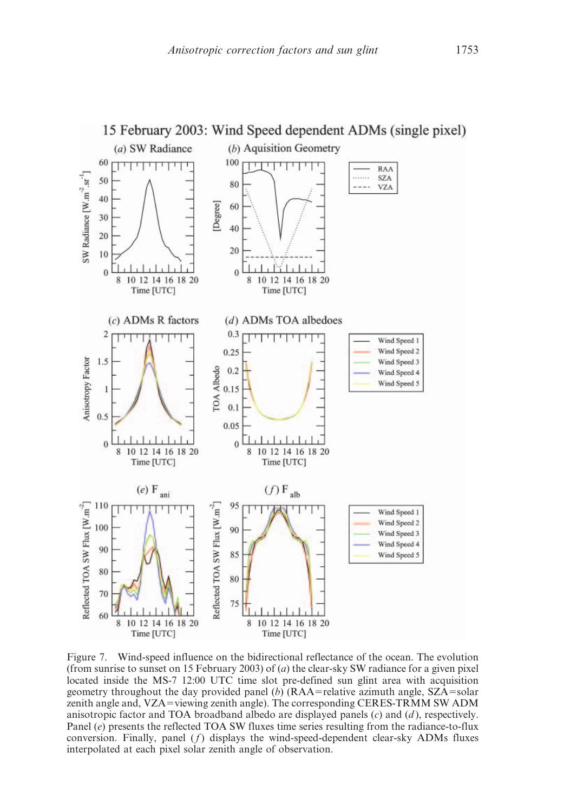

Figure 7. Wind-speed influence on the bidirectional reflectance of the ocean. The evolution (from sunrise to sunset on 15 February 2003) of  $(a)$  the clear-sky SW radiance for a given pixel located inside the MS-7 12:00 UTC time slot pre-defined sun glint area with acquisition geometry throughout the day provided panel (b) (RAA=relative azimuth angle, SZA=solar zenith angle and, VZA=viewing zenith angle). The corresponding CERES-TRMM SW ADM anisotropic factor and TOA broadband albedo are displayed panels  $(c)$  and  $(d)$ , respectively. Panel (e) presents the reflected TOA SW fluxes time series resulting from the radiance-to-flux conversion. Finally, panel  $(f)$  displays the wind-speed-dependent clear-sky ADMs fluxes interpolated at each pixel solar zenith angle of observation.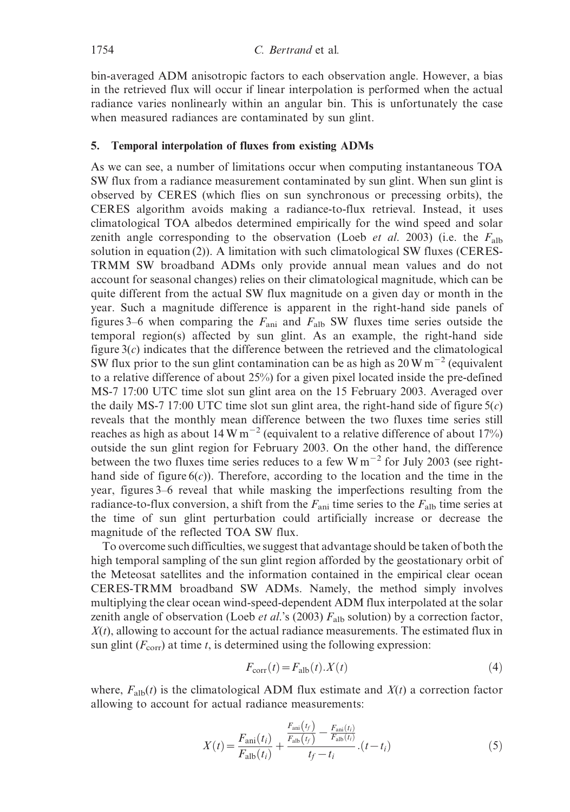bin-averaged ADM anisotropic factors to each observation angle. However, a bias in the retrieved flux will occur if linear interpolation is performed when the actual radiance varies nonlinearly within an angular bin. This is unfortunately the case when measured radiances are contaminated by sun glint.

#### 5. Temporal interpolation of fluxes from existing ADMs

As we can see, a number of limitations occur when computing instantaneous TOA SW flux from a radiance measurement contaminated by sun glint. When sun glint is observed by CERES (which flies on sun synchronous or precessing orbits), the CERES algorithm avoids making a radiance-to-flux retrieval. Instead, it uses climatological TOA albedos determined empirically for the wind speed and solar zenith angle corresponding to the observation (Loeb et al. 2003) (i.e. the  $F_{\text{alb}}$ solution in equation (2)). A limitation with such climatological SW fluxes (CERES-TRMM SW broadband ADMs only provide annual mean values and do not account for seasonal changes) relies on their climatological magnitude, which can be quite different from the actual SW flux magnitude on a given day or month in the year. Such a magnitude difference is apparent in the right-hand side panels of figures 3–6 when comparing the  $F_{\text{ani}}$  and  $F_{\text{alb}}$  SW fluxes time series outside the temporal region(s) affected by sun glint. As an example, the right-hand side figure  $3(c)$  indicates that the difference between the retrieved and the climatological SW flux prior to the sun glint contamination can be as high as  $20 \,\mathrm{W\,m}^{-2}$  (equivalent to a relative difference of about 25%) for a given pixel located inside the pre-defined MS-7 17:00 UTC time slot sun glint area on the 15 February 2003. Averaged over the daily MS-7 17:00 UTC time slot sun glint area, the right-hand side of figure  $5(c)$ reveals that the monthly mean difference between the two fluxes time series still reaches as high as about 14 W m<sup>-2</sup> (equivalent to a relative difference of about 17%) outside the sun glint region for February 2003. On the other hand, the difference between the two fluxes time series reduces to a few  $W m^{-2}$  for July 2003 (see righthand side of figure  $6(c)$ ). Therefore, according to the location and the time in the year, figures 3–6 reveal that while masking the imperfections resulting from the radiance-to-flux conversion, a shift from the  $F_{\text{ani}}$  time series to the  $F_{\text{alb}}$  time series at the time of sun glint perturbation could artificially increase or decrease the magnitude of the reflected TOA SW flux.

To overcome such difficulties, we suggest that advantage should be taken of both the high temporal sampling of the sun glint region afforded by the geostationary orbit of the Meteosat satellites and the information contained in the empirical clear ocean CERES-TRMM broadband SW ADMs. Namely, the method simply involves multiplying the clear ocean wind-speed-dependent ADM flux interpolated at the solar zenith angle of observation (Loeb *et al.*'s (2003)  $F_{\text{alb}}$  solution) by a correction factor,  $X(t)$ , allowing to account for the actual radiance measurements. The estimated flux in sun glint  $(F_{\text{corr}})$  at time t, is determined using the following expression:

$$
F_{\text{corr}}(t) = F_{\text{alb}}(t).X(t)
$$
\n<sup>(4)</sup>

where,  $F_{\text{alb}}(t)$  is the climatological ADM flux estimate and  $X(t)$  a correction factor allowing to account for actual radiance measurements:

$$
X(t) = \frac{F_{\text{ani}}(t_i)}{F_{\text{alb}}(t_i)} + \frac{F_{\text{ani}}(t_f)}{F_{\text{alb}}(t_f)} - \frac{F_{\text{ani}}(t_i)}{F_{\text{alb}}(t_i)}}{t_f - t_i} \cdot (t - t_i)
$$
(5)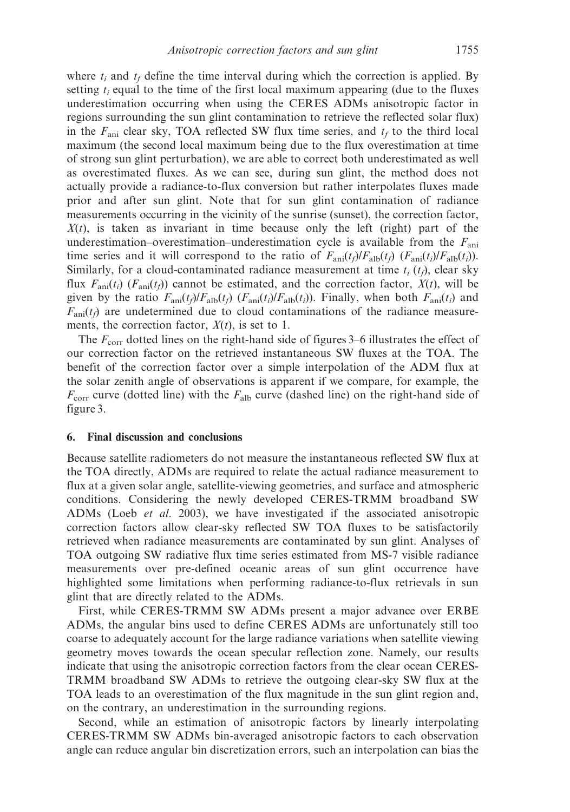where  $t_i$  and  $t_f$  define the time interval during which the correction is applied. By setting  $t_i$  equal to the time of the first local maximum appearing (due to the fluxes underestimation occurring when using the CERES ADMs anisotropic factor in regions surrounding the sun glint contamination to retrieve the reflected solar flux) in the  $F_{\text{ani}}$  clear sky, TOA reflected SW flux time series, and  $t_f$  to the third local maximum (the second local maximum being due to the flux overestimation at time of strong sun glint perturbation), we are able to correct both underestimated as well as overestimated fluxes. As we can see, during sun glint, the method does not actually provide a radiance-to-flux conversion but rather interpolates fluxes made prior and after sun glint. Note that for sun glint contamination of radiance measurements occurring in the vicinity of the sunrise (sunset), the correction factor,  $X(t)$ , is taken as invariant in time because only the left (right) part of the underestimation–overestimation–underestimation cycle is available from the  $F_{\text{ani}}$ time series and it will correspond to the ratio of  $F_{\text{ani}}(t_f)/F_{\text{alb}}(t_f)$   $(F_{\text{ani}}(t_i)/F_{\text{alb}}(t_i))$ . Similarly, for a cloud-contaminated radiance measurement at time  $t_i(t_i)$ , clear sky flux  $F_{\text{ani}}(t_i)$  ( $F_{\text{ani}}(t_f)$ ) cannot be estimated, and the correction factor,  $X(t)$ , will be given by the ratio  $F_{\text{ani}}(t_i)/F_{\text{alb}}(t_i)$  ( $F_{\text{ani}}(t_i)/F_{\text{alb}}(t_i)$ ). Finally, when both  $F_{\text{ani}}(t_i)$  and  $F_{\text{ani}}(t_f)$  are undetermined due to cloud contaminations of the radiance measurements, the correction factor,  $X(t)$ , is set to 1.

The  $F_{\text{corr}}$  dotted lines on the right-hand side of figures 3–6 illustrates the effect of our correction factor on the retrieved instantaneous SW fluxes at the TOA. The benefit of the correction factor over a simple interpolation of the ADM flux at the solar zenith angle of observations is apparent if we compare, for example, the  $F_{\text{corr}}$  curve (dotted line) with the  $F_{\text{alb}}$  curve (dashed line) on the right-hand side of figure 3.

### 6. Final discussion and conclusions

Because satellite radiometers do not measure the instantaneous reflected SW flux at the TOA directly, ADMs are required to relate the actual radiance measurement to flux at a given solar angle, satellite-viewing geometries, and surface and atmospheric conditions. Considering the newly developed CERES-TRMM broadband SW ADMs (Loeb et al. 2003), we have investigated if the associated anisotropic correction factors allow clear-sky reflected SW TOA fluxes to be satisfactorily retrieved when radiance measurements are contaminated by sun glint. Analyses of TOA outgoing SW radiative flux time series estimated from MS-7 visible radiance measurements over pre-defined oceanic areas of sun glint occurrence have highlighted some limitations when performing radiance-to-flux retrievals in sun glint that are directly related to the ADMs.

First, while CERES-TRMM SW ADMs present a major advance over ERBE ADMs, the angular bins used to define CERES ADMs are unfortunately still too coarse to adequately account for the large radiance variations when satellite viewing geometry moves towards the ocean specular reflection zone. Namely, our results indicate that using the anisotropic correction factors from the clear ocean CERES-TRMM broadband SW ADMs to retrieve the outgoing clear-sky SW flux at the TOA leads to an overestimation of the flux magnitude in the sun glint region and, on the contrary, an underestimation in the surrounding regions.

Second, while an estimation of anisotropic factors by linearly interpolating CERES-TRMM SW ADMs bin-averaged anisotropic factors to each observation angle can reduce angular bin discretization errors, such an interpolation can bias the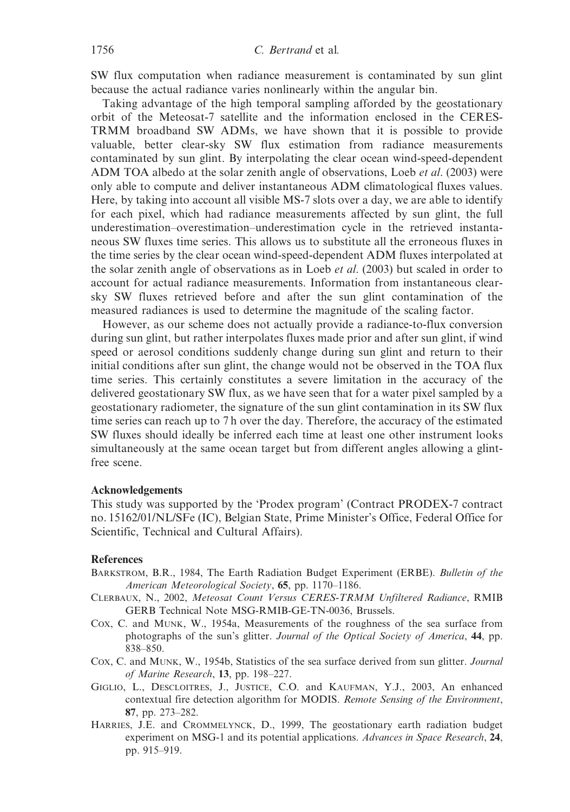SW flux computation when radiance measurement is contaminated by sun glint because the actual radiance varies nonlinearly within the angular bin.

Taking advantage of the high temporal sampling afforded by the geostationary orbit of the Meteosat-7 satellite and the information enclosed in the CERES-TRMM broadband SW ADMs, we have shown that it is possible to provide valuable, better clear-sky SW flux estimation from radiance measurements contaminated by sun glint. By interpolating the clear ocean wind-speed-dependent ADM TOA albedo at the solar zenith angle of observations, Loeb et al. (2003) were only able to compute and deliver instantaneous ADM climatological fluxes values. Here, by taking into account all visible MS-7 slots over a day, we are able to identify for each pixel, which had radiance measurements affected by sun glint, the full underestimation–overestimation–underestimation cycle in the retrieved instantaneous SW fluxes time series. This allows us to substitute all the erroneous fluxes in the time series by the clear ocean wind-speed-dependent ADM fluxes interpolated at the solar zenith angle of observations as in Loeb *et al.* (2003) but scaled in order to account for actual radiance measurements. Information from instantaneous clearsky SW fluxes retrieved before and after the sun glint contamination of the measured radiances is used to determine the magnitude of the scaling factor.

However, as our scheme does not actually provide a radiance-to-flux conversion during sun glint, but rather interpolates fluxes made prior and after sun glint, if wind speed or aerosol conditions suddenly change during sun glint and return to their initial conditions after sun glint, the change would not be observed in the TOA flux time series. This certainly constitutes a severe limitation in the accuracy of the delivered geostationary SW flux, as we have seen that for a water pixel sampled by a geostationary radiometer, the signature of the sun glint contamination in its SW flux time series can reach up to 7 h over the day. Therefore, the accuracy of the estimated SW fluxes should ideally be inferred each time at least one other instrument looks simultaneously at the same ocean target but from different angles allowing a glintfree scene.

#### Acknowledgements

This study was supported by the 'Prodex program' (Contract PRODEX-7 contract no. 15162/01/NL/SFe (IC), Belgian State, Prime Minister's Office, Federal Office for Scientific, Technical and Cultural Affairs).

#### References

- BARKSTROM, B.R., 1984, The Earth Radiation Budget Experiment (ERBE). Bulletin of the American Meteorological Society, 65, pp. 1170-1186.
- CLERBAUX, N., 2002, Meteosat Count Versus CERES-TRMM Unfiltered Radiance, RMIB GERB Technical Note MSG-RMIB-GE-TN-0036, Brussels.
- COX, C. and MUNK, W., 1954a, Measurements of the roughness of the sea surface from photographs of the sun's glitter. Journal of the Optical Society of America, 44, pp. 838–850.
- COX, C. and MUNK, W., 1954b, Statistics of the sea surface derived from sun glitter. Journal of Marine Research, 13, pp. 198–227.
- GIGLIO, L., DESCLOITRES, J., JUSTICE, C.O. and KAUFMAN, Y.J., 2003, An enhanced contextual fire detection algorithm for MODIS. Remote Sensing of the Environment, 87, pp. 273–282.
- HARRIES, J.E. and CROMMELYNCK, D., 1999, The geostationary earth radiation budget experiment on MSG-1 and its potential applications. Advances in Space Research, 24, pp. 915–919.